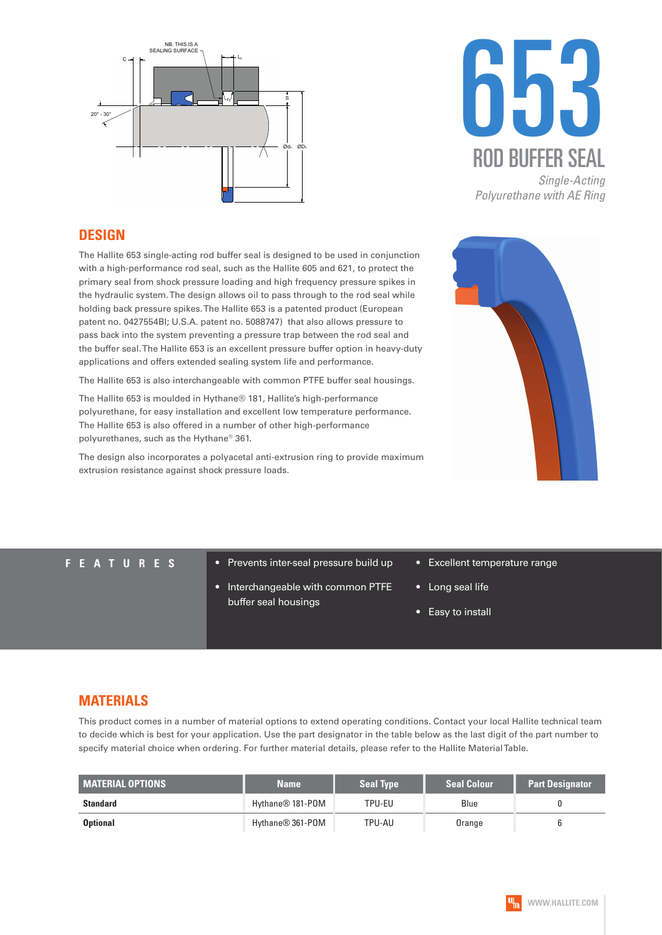



#### **DESIGN**

The Hallite 653 single-acting rod buffer seal is designed to be used in conjunction with a high-performance rod seal, such as the Hallite 605 and 621, to protect the primary seal from shock pressure loading and high frequency pressure spikes in the hydraulic system. The design allows oil to pass through to the rod seal while holding back pressure spikes. The Hallite 653 is a patented product (European patent no. 0427554BI; U.S.A. patent no. 5088747) that also allows pressure to pass back into the system preventing a pressure trap between the rod seal and the buffer seal. The Hallite 653 is an excellent pressure buffer option in heavy-duty applications and offers extended sealing system life and performance.

The Hallite 653 is also interchangeable with common PTFE buffer seal housings.

The Hallite 653 is moulded in Hythane® 181, Hallite's high-performance polyurethane, for easy installation and excellent low temperature performance. The Hallite 653 is also offered in a number of other high-performance polyurethanes, such as the Hythane® 361.

The design also incorporates a polyacetal anti-extrusion ring to provide maximum extrusion resistance against shock pressure loads.



- **FEATURES** Prevents inter-seal pressure build up
	- Interchangeable with common PTFE buffer seal housings
- Excellent temperature range
- Long seal life
- Easy to install

### **MATERIALS**

This product comes in a number of material options to extend operating conditions. Contact your local Hallite technical team to decide which is best for your application. Use the part designator in the table below as the last digit of the part number to specify material choice when ordering. For further material details, please refer to the Hallite Material Table.

| <b>MATERIAL OPTIONS</b> | <b>Name</b>      | <b>Seal Type</b> | <b>Seal Colour</b> | <b>Part Designator</b> |
|-------------------------|------------------|------------------|--------------------|------------------------|
| <b>Standard</b>         | Hythane® 181-POM | TPU-EU           | Blue               |                        |
| <b>Optional</b>         | Hythane® 361-POM | TPU-AU           | Orange             |                        |

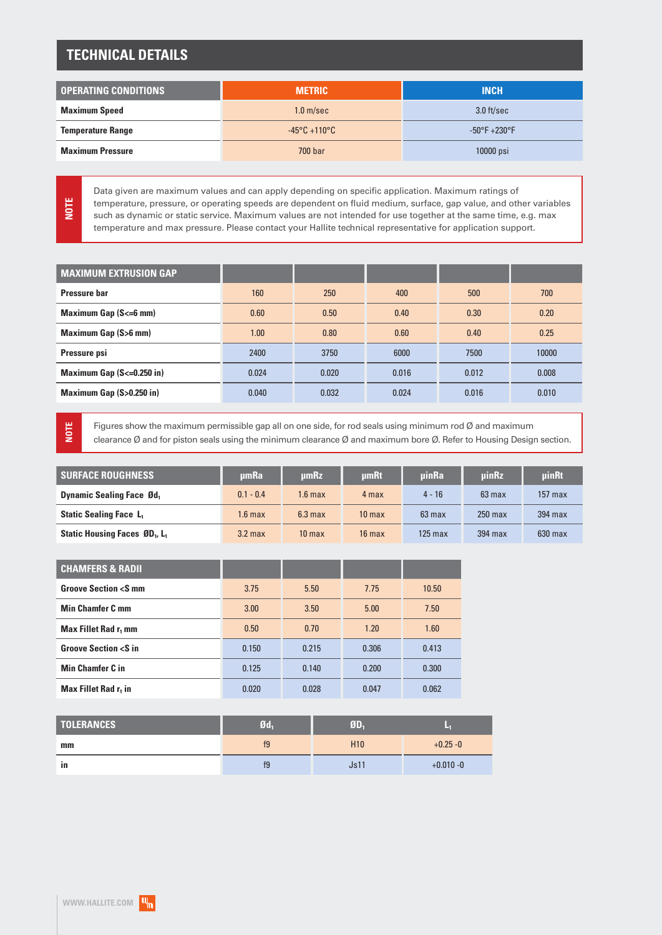## **TECHNICAL DETAILS**

| <b>OPERATING CONDITIONS</b> | <b>METRIC</b>                     | <b>INCH</b>                       |  |
|-----------------------------|-----------------------------------|-----------------------------------|--|
| <b>Maximum Speed</b>        | 1.0 <sub>m/sec</sub>              | $3.0$ ft/sec                      |  |
| <b>Temperature Range</b>    | $-45^{\circ}$ C +110 $^{\circ}$ C | $-50^{\circ}$ F +230 $^{\circ}$ F |  |
| <b>Maximum Pressure</b>     | 700 bar                           | 10000 psi                         |  |

Data given are maximum values and can apply depending on specific application. Maximum ratings of temperature, pressure, or operating speeds are dependent on fluid medium, surface, gap value, and other variables such as dynamic or static service. Maximum values are not intended for use together at the same time, e.g. max temperature and max pressure. Please contact your Hallite technical representative for application support.

| <b>MAXIMUM EXTRUSION GAP</b>    |       |       |       |       |       |
|---------------------------------|-------|-------|-------|-------|-------|
| Pressure bar                    | 160   | 250   | 400   | 500   | 700   |
| <b>Maximum Gap (S&lt;=6 mm)</b> | 0.60  | 0.50  | 0.40  | 0.30  | 0.20  |
| <b>Maximum Gap (S&gt;6 mm)</b>  | 1.00  | 0.80  | 0.60  | 0.40  | 0.25  |
| Pressure psi                    | 2400  | 3750  | 6000  | 7500  | 10000 |
| Maximum Gap $(S=0.250$ in)      | 0.024 | 0.020 | 0.016 | 0.012 | 0.008 |
| Maximum Gap (S>0.250 in)        | 0.040 | 0.032 | 0.024 | 0.016 | 0.010 |

**NOTE**

**NOTE**

Figures show the maximum permissible gap all on one side, for rod seals using minimum rod Ø and maximum clearance Ø and for piston seals using the minimum clearance Ø and maximum bore Ø. Refer to Housing Design section.

| <b>SURFACE ROUGHNESS</b>                              | umRa        | umRz              | umRt              | <b>uinRa</b> | uinRz     | uinRt     |
|-------------------------------------------------------|-------------|-------------------|-------------------|--------------|-----------|-----------|
| <b>Dynamic Sealing Face Ød</b> ,                      | $0.1 - 0.4$ | 1.6 max           | 4 max             | $4 - 16$     | $63$ max  | $157$ max |
| <b>Static Sealing Face L<sub>1</sub></b>              | $1.6$ max   | $6.3 \text{ max}$ | 10 <sub>max</sub> | $63$ max     | $250$ max | $394$ max |
| Static Housing Faces ØD <sub>1</sub> , L <sub>1</sub> | $3.2$ max   | 10 <sub>max</sub> | $16$ max          | $125$ max    | 394 max   | $630$ max |

| <b>CHAMFERS &amp; RADII</b>               |       |       |       |       |
|-------------------------------------------|-------|-------|-------|-------|
| <b>Groove Section <s b="" mm<=""></s></b> | 3.75  | 5.50  | 7.75  | 10.50 |
| <b>Min Chamfer C mm</b>                   | 3.00  | 3.50  | 5.00  | 7.50  |
| Max Fillet Rad r, mm                      | 0.50  | 0.70  | 1.20  | 1.60  |
| <b>Groove Section <s b="" in<=""></s></b> | 0.150 | 0.215 | 0.306 | 0.413 |
| <b>Min Chamfer C in</b>                   | 0.125 | 0.140 | 0.200 | 0.300 |
| Max Fillet Rad r <sub>1</sub> in          | 0.020 | 0.028 | 0.047 | 0.062 |

| <b>TOLERANCES</b> | Q <sub>d</sub> | <b>MD.</b>      | ₹            |
|-------------------|----------------|-----------------|--------------|
| mm                | f9             | H <sub>10</sub> | $+0.25 - 0$  |
| in                | f9             | Js11            | $+0.010 - 0$ |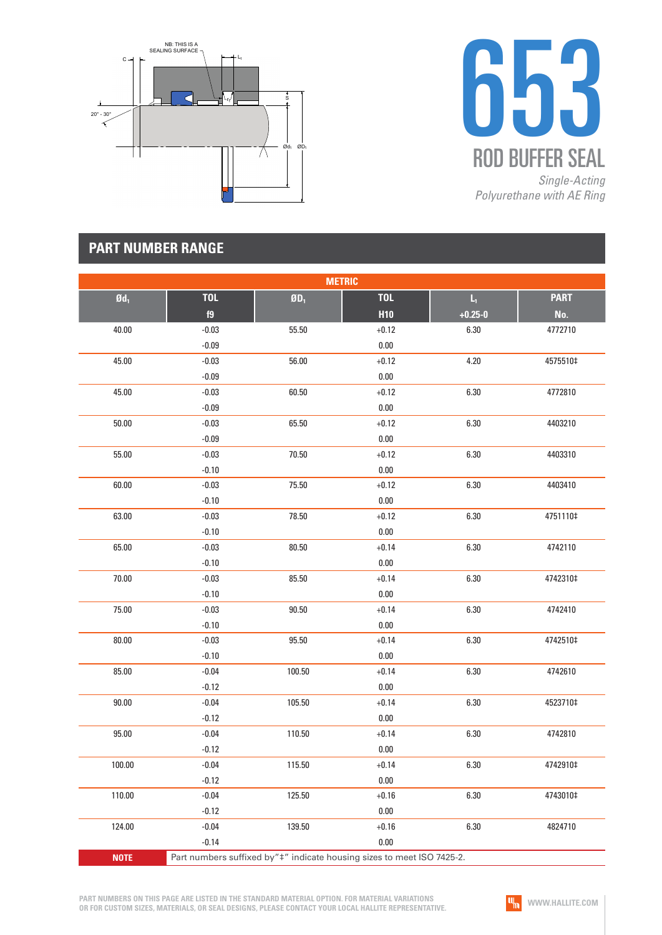



## **PART NUMBER RANGE**

| <b>METRIC</b>     |                                                                        |        |            |             |             |  |  |
|-------------------|------------------------------------------------------------------------|--------|------------|-------------|-------------|--|--|
| $\mathfrak{gd}_1$ | <b>TOL</b>                                                             | $ØD_1$ | <b>TOL</b> | $L_{\rm i}$ | <b>PART</b> |  |  |
|                   | f9                                                                     |        | <b>H10</b> | $+0.25 - 0$ | No.         |  |  |
| 40.00             | $-0.03$                                                                | 55.50  | $+0.12$    | 6.30        | 4772710     |  |  |
|                   | $-0.09$                                                                |        | $0.00\,$   |             |             |  |  |
| 45.00             | $-0.03$                                                                | 56.00  | $+0.12$    | 4.20        | 4575510‡    |  |  |
|                   | $-0.09$                                                                |        | 0.00       |             |             |  |  |
| 45.00             | $-0.03$                                                                | 60.50  | $+0.12$    | $6.30\,$    | 4772810     |  |  |
|                   | $-0.09$                                                                |        | $0.00\,$   |             |             |  |  |
| 50.00             | $-0.03$                                                                | 65.50  | $+0.12$    | 6.30        | 4403210     |  |  |
|                   | $-0.09$                                                                |        | $0.00\,$   |             |             |  |  |
| 55.00             | $-0.03$                                                                | 70.50  | $+0.12$    | 6.30        | 4403310     |  |  |
|                   | $-0.10$                                                                |        | 0.00       |             |             |  |  |
| 60.00             | $-0.03$                                                                | 75.50  | $+0.12$    | $6.30\,$    | 4403410     |  |  |
|                   | $-0.10$                                                                |        | $0.00\,$   |             |             |  |  |
| 63.00             | $-0.03$                                                                | 78.50  | $+0.12$    | 6.30        | 4751110‡    |  |  |
|                   | $-0.10$                                                                |        | $0.00\,$   |             |             |  |  |
| 65.00             | $-0.03$                                                                | 80.50  | $+0.14$    | 6.30        | 4742110     |  |  |
|                   | $-0.10$                                                                |        | 0.00       |             |             |  |  |
| 70.00             | $-0.03$                                                                | 85.50  | $+0.14$    | 6.30        | 4742310‡    |  |  |
|                   | $-0.10$                                                                |        | $0.00\,$   |             |             |  |  |
| 75.00             | $-0.03$                                                                | 90.50  | $+0.14$    | 6.30        | 4742410     |  |  |
|                   | $-0.10$                                                                |        | $0.00\,$   |             |             |  |  |
| 80.00             | $-0.03$                                                                | 95.50  | $+0.14$    | 6.30        | 4742510‡    |  |  |
|                   | $-0.10$                                                                |        | $0.00\,$   |             |             |  |  |
| 85.00             | $-0.04$                                                                | 100.50 | $+0.14$    | 6.30        | 4742610     |  |  |
|                   | $-0.12$                                                                |        | $0.00\,$   |             |             |  |  |
| 90.00             | $-0.04$                                                                | 105.50 | $+0.14$    | 6.30        | 4523710‡    |  |  |
|                   | $-0.12$                                                                |        | $0.00\,$   |             |             |  |  |
| 95.00             | $-0.04$                                                                | 110.50 | $+0.14$    | 6.30        | 4742810     |  |  |
|                   | $-0.12$                                                                |        | $0.00\,$   |             |             |  |  |
| 100.00            | $-0.04$                                                                | 115.50 | $+0.14$    | 6.30        | 4742910‡    |  |  |
|                   | $-0.12$                                                                |        | $0.00\,$   |             |             |  |  |
| 110.00            | $-0.04$                                                                | 125.50 | $+0.16$    | 6.30        | 4743010‡    |  |  |
|                   | $-0.12$                                                                |        | 0.00       |             |             |  |  |
| 124.00            | $-0.04$                                                                | 139.50 | $+0.16$    | 6.30        | 4824710     |  |  |
|                   | $-0.14$                                                                |        | 0.00       |             |             |  |  |
| <b>NOTE</b>       | Part numbers suffixed by"#" indicate housing sizes to meet ISO 7425-2. |        |            |             |             |  |  |

**PART NUMBERS ON THIS PAGE ARE LISTED IN THE STANDARD MATERIAL OPTION. FOR MATERIAL VARIATIONS OR FOR CUSTOM SIZES, MATERIALS, OR SEAL DESIGNS, PLEASE CONTACT YOUR LOCAL HALLITE REPRESENTATIVE.**